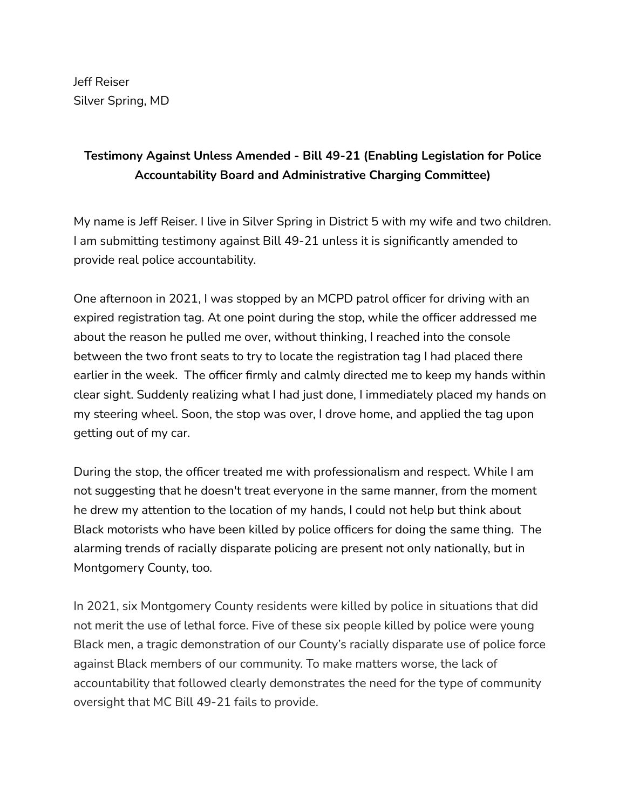Jeff Reiser Silver Spring, MD

## **Testimony Against Unless Amended - Bill 49-21 (Enabling Legislation for Police Accountability Board and Administrative Charging Committee)**

My name is Jeff Reiser. I live in Silver Spring in District 5 with my wife and two children. I am submitting testimony against Bill 49-21 unless it is significantly amended to provide real police accountability.

One afternoon in 2021, I was stopped by an MCPD patrol officer for driving with an expired registration tag. At one point during the stop, while the officer addressed me about the reason he pulled me over, without thinking, I reached into the console between the two front seats to try to locate the registration tag I had placed there earlier in the week. The officer firmly and calmly directed me to keep my hands within clear sight. Suddenly realizing what I had just done, I immediately placed my hands on my steering wheel. Soon, the stop was over, I drove home, and applied the tag upon getting out of my car.

During the stop, the officer treated me with professionalism and respect. While I am not suggesting that he doesn't treat everyone in the same manner, from the moment he drew my attention to the location of my hands, I could not help but think about Black motorists who have been killed by police officers for doing the same thing. The alarming trends of racially disparate policing are present not only nationally, but in Montgomery County, too.

In 2021, six Montgomery County residents were killed by police in situations that did not merit the use of lethal force. Five of these six people killed by police were young Black men, a tragic demonstration of our County's racially disparate use of police force against Black members of our community. To make matters worse, the lack of accountability that followed clearly demonstrates the need for the type of community oversight that MC Bill 49-21 fails to provide.